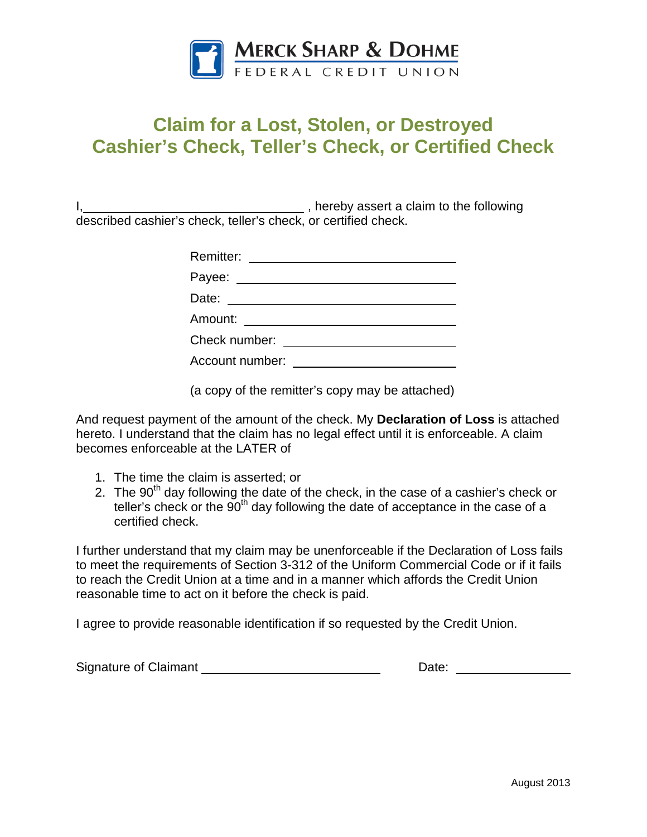

## **Claim for a Lost, Stolen, or Destroyed Cashier's Check, Teller's Check, or Certified Check**

I, Manuscript and Termin and Termin and Termin and Termin and Termin and Termin and Termin and Termin and Termin and Termin and Termin and Termin and Termin and Termin and Termin and Termin and Termin and Termin and Termin described cashier's check, teller's check, or certified check.

| Remitter:                                                            |
|----------------------------------------------------------------------|
|                                                                      |
|                                                                      |
| Amount:<br><u> 1989 - Andrea Station Books, amerikansk politik (</u> |
| Check number:                                                        |
| Account number:                                                      |
|                                                                      |

(a copy of the remitter's copy may be attached)

And request payment of the amount of the check. My **Declaration of Loss** is attached hereto. I understand that the claim has no legal effect until it is enforceable. A claim becomes enforceable at the LATER of

- 1. The time the claim is asserted; or
- 2. The  $90<sup>th</sup>$  day following the date of the check, in the case of a cashier's check or teller's check or the  $90<sup>th</sup>$  day following the date of acceptance in the case of a certified check.

I further understand that my claim may be unenforceable if the Declaration of Loss fails to meet the requirements of Section 3-312 of the Uniform Commercial Code or if it fails to reach the Credit Union at a time and in a manner which affords the Credit Union reasonable time to act on it before the check is paid.

I agree to provide reasonable identification if so requested by the Credit Union.

Signature of Claimant and Communication of Claimant and Communication of Claimant